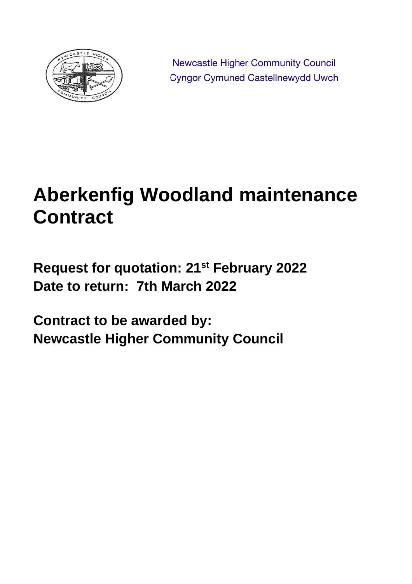

Newcastle Higher Community Council **Cyngor Cymuned Castellnewydd Uwch** 

# **Aberkenfig Woodland maintenance Contract**

**Request for quotation: 21st February 2022 Date to return: 7th March 2022**

**Contract to be awarded by: Newcastle Higher Community Council**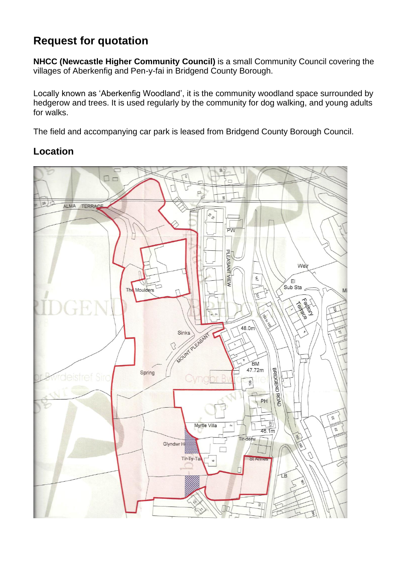# **Request for quotation**

**NHCC (Newcastle Higher Community Council)** is a small Community Council covering the villages of Aberkenfig and Pen-y-fai in Bridgend County Borough.

Locally known as 'Aberkenfig Woodland', it is the community woodland space surrounded by hedgerow and trees. It is used regularly by the community for dog walking, and young adults for walks.

The field and accompanying car park is leased from Bridgend County Borough Council.

## **Location**

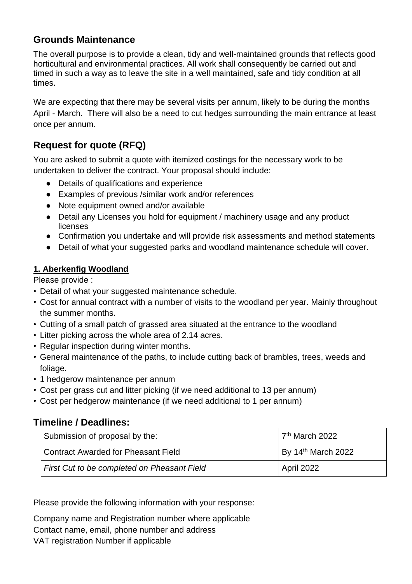## **Grounds Maintenance**

The overall purpose is to provide a clean, tidy and well-maintained grounds that reflects good horticultural and environmental practices. All work shall consequently be carried out and timed in such a way as to leave the site in a well maintained, safe and tidy condition at all times.

We are expecting that there may be several visits per annum, likely to be during the months April - March. There will also be a need to cut hedges surrounding the main entrance at least once per annum.

## **Request for quote (RFQ)**

You are asked to submit a quote with itemized costings for the necessary work to be undertaken to deliver the contract. Your proposal should include:

- Details of qualifications and experience
- Examples of previous /similar work and/or references
- Note equipment owned and/or available
- Detail any Licenses you hold for equipment / machinery usage and any product licenses
- Confirmation you undertake and will provide risk assessments and method statements
- Detail of what your suggested parks and woodland maintenance schedule will cover.

#### **1. Aberkenfig Woodland**

Please provide :

- Detail of what your suggested maintenance schedule.
- Cost for annual contract with a number of visits to the woodland per year. Mainly throughout the summer months.
- Cutting of a small patch of grassed area situated at the entrance to the woodland
- Litter picking across the whole area of 2.14 acres.
- Regular inspection during winter months.
- General maintenance of the paths, to include cutting back of brambles, trees, weeds and foliage.
- 1 hedgerow maintenance per annum
- Cost per grass cut and litter picking (if we need additional to 13 per annum)
- Cost per hedgerow maintenance (if we need additional to 1 per annum)

### **Timeline / Deadlines:**

| Submission of proposal by the:              | 7 <sup>th</sup> March 2022     |
|---------------------------------------------|--------------------------------|
| Contract Awarded for Pheasant Field         | By 14 <sup>th</sup> March 2022 |
| First Cut to be completed on Pheasant Field | April 2022                     |

Please provide the following information with your response:

Company name and Registration number where applicable Contact name, email, phone number and address VAT registration Number if applicable